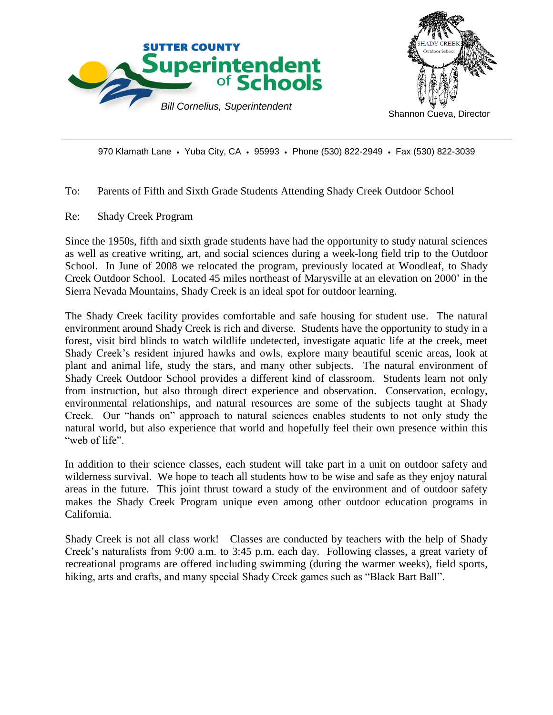



970 Klamath Lane • Yuba City, CA • 95993 • Phone (530) 822-2949 • Fax (530) 822-3039

To: Parents of Fifth and Sixth Grade Students Attending Shady Creek Outdoor School

Re: Shady Creek Program

Since the 1950s, fifth and sixth grade students have had the opportunity to study natural sciences as well as creative writing, art, and social sciences during a week-long field trip to the Outdoor School. In June of 2008 we relocated the program, previously located at Woodleaf, to Shady Creek Outdoor School. Located 45 miles northeast of Marysville at an elevation on 2000' in the Sierra Nevada Mountains, Shady Creek is an ideal spot for outdoor learning.

The Shady Creek facility provides comfortable and safe housing for student use. The natural environment around Shady Creek is rich and diverse. Students have the opportunity to study in a forest, visit bird blinds to watch wildlife undetected, investigate aquatic life at the creek, meet Shady Creek's resident injured hawks and owls, explore many beautiful scenic areas, look at plant and animal life, study the stars, and many other subjects. The natural environment of Shady Creek Outdoor School provides a different kind of classroom. Students learn not only from instruction, but also through direct experience and observation. Conservation, ecology, environmental relationships, and natural resources are some of the subjects taught at Shady Creek. Our "hands on" approach to natural sciences enables students to not only study the natural world, but also experience that world and hopefully feel their own presence within this "web of life".

In addition to their science classes, each student will take part in a unit on outdoor safety and wilderness survival. We hope to teach all students how to be wise and safe as they enjoy natural areas in the future. This joint thrust toward a study of the environment and of outdoor safety makes the Shady Creek Program unique even among other outdoor education programs in California.

Shady Creek is not all class work! Classes are conducted by teachers with the help of Shady Creek's naturalists from 9:00 a.m. to 3:45 p.m. each day. Following classes, a great variety of recreational programs are offered including swimming (during the warmer weeks), field sports, hiking, arts and crafts, and many special Shady Creek games such as "Black Bart Ball".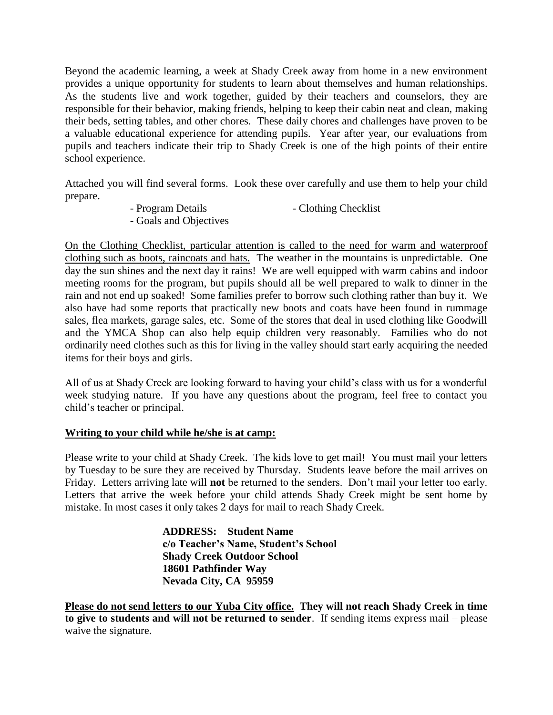Beyond the academic learning, a week at Shady Creek away from home in a new environment provides a unique opportunity for students to learn about themselves and human relationships. As the students live and work together, guided by their teachers and counselors, they are responsible for their behavior, making friends, helping to keep their cabin neat and clean, making their beds, setting tables, and other chores. These daily chores and challenges have proven to be a valuable educational experience for attending pupils. Year after year, our evaluations from pupils and teachers indicate their trip to Shady Creek is one of the high points of their entire school experience.

Attached you will find several forms. Look these over carefully and use them to help your child prepare.

- Program Details Clothing Checklist
- Goals and Objectives

On the Clothing Checklist, particular attention is called to the need for warm and waterproof clothing such as boots, raincoats and hats. The weather in the mountains is unpredictable. One day the sun shines and the next day it rains! We are well equipped with warm cabins and indoor meeting rooms for the program, but pupils should all be well prepared to walk to dinner in the rain and not end up soaked! Some families prefer to borrow such clothing rather than buy it. We also have had some reports that practically new boots and coats have been found in rummage sales, flea markets, garage sales, etc. Some of the stores that deal in used clothing like Goodwill and the YMCA Shop can also help equip children very reasonably. Families who do not ordinarily need clothes such as this for living in the valley should start early acquiring the needed items for their boys and girls.

All of us at Shady Creek are looking forward to having your child's class with us for a wonderful week studying nature. If you have any questions about the program, feel free to contact you child's teacher or principal.

#### **Writing to your child while he/she is at camp:**

Please write to your child at Shady Creek. The kids love to get mail! You must mail your letters by Tuesday to be sure they are received by Thursday. Students leave before the mail arrives on Friday. Letters arriving late will **not** be returned to the senders. Don't mail your letter too early. Letters that arrive the week before your child attends Shady Creek might be sent home by mistake. In most cases it only takes 2 days for mail to reach Shady Creek.

> **ADDRESS: Student Name c/o Teacher's Name, Student's School Shady Creek Outdoor School 18601 Pathfinder Way Nevada City, CA 95959**

**Please do not send letters to our Yuba City office. They will not reach Shady Creek in time to give to students and will not be returned to sender**. If sending items express mail – please waive the signature.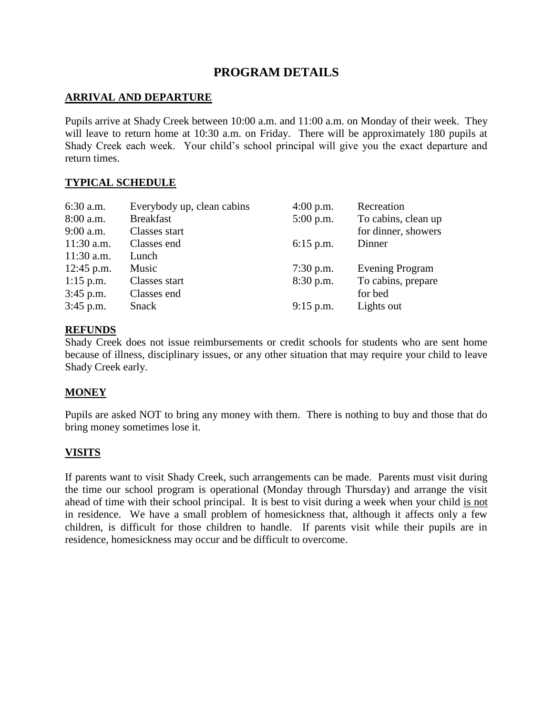## **PROGRAM DETAILS**

#### **ARRIVAL AND DEPARTURE**

Pupils arrive at Shady Creek between 10:00 a.m. and 11:00 a.m. on Monday of their week. They will leave to return home at 10:30 a.m. on Friday. There will be approximately 180 pupils at Shady Creek each week. Your child's school principal will give you the exact departure and return times.

#### **TYPICAL SCHEDULE**

| Everybody up, clean cabins | $4:00$ p.m. | Recreation             |
|----------------------------|-------------|------------------------|
| <b>Breakfast</b>           | $5:00$ p.m. | To cabins, clean up    |
| Classes start              |             | for dinner, showers    |
| Classes end                | $6:15$ p.m. | Dinner                 |
| Lunch                      |             |                        |
| Music                      | $7:30$ p.m. | <b>Evening Program</b> |
| Classes start              | 8:30 p.m.   | To cabins, prepare     |
| Classes end                |             | for bed                |
| Snack                      | $9:15$ p.m. | Lights out             |
|                            |             |                        |

#### **REFUNDS**

Shady Creek does not issue reimbursements or credit schools for students who are sent home because of illness, disciplinary issues, or any other situation that may require your child to leave Shady Creek early.

#### **MONEY**

Pupils are asked NOT to bring any money with them. There is nothing to buy and those that do bring money sometimes lose it.

#### **VISITS**

If parents want to visit Shady Creek, such arrangements can be made. Parents must visit during the time our school program is operational (Monday through Thursday) and arrange the visit ahead of time with their school principal. It is best to visit during a week when your child is not in residence. We have a small problem of homesickness that, although it affects only a few children, is difficult for those children to handle. If parents visit while their pupils are in residence, homesickness may occur and be difficult to overcome.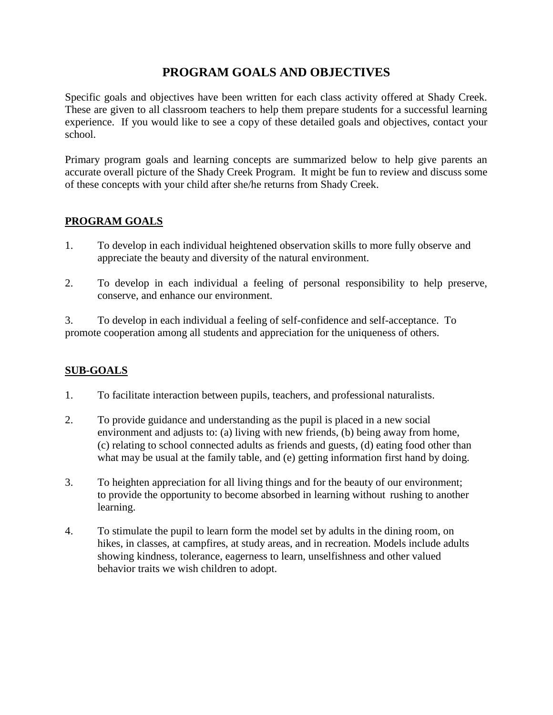## **PROGRAM GOALS AND OBJECTIVES**

Specific goals and objectives have been written for each class activity offered at Shady Creek. These are given to all classroom teachers to help them prepare students for a successful learning experience. If you would like to see a copy of these detailed goals and objectives, contact your school.

Primary program goals and learning concepts are summarized below to help give parents an accurate overall picture of the Shady Creek Program. It might be fun to review and discuss some of these concepts with your child after she/he returns from Shady Creek.

## **PROGRAM GOALS**

- 1. To develop in each individual heightened observation skills to more fully observe and appreciate the beauty and diversity of the natural environment.
- 2. To develop in each individual a feeling of personal responsibility to help preserve, conserve, and enhance our environment.

3. To develop in each individual a feeling of self-confidence and self-acceptance. To promote cooperation among all students and appreciation for the uniqueness of others.

## **SUB-GOALS**

- 1. To facilitate interaction between pupils, teachers, and professional naturalists.
- 2. To provide guidance and understanding as the pupil is placed in a new social environment and adjusts to: (a) living with new friends, (b) being away from home, (c) relating to school connected adults as friends and guests, (d) eating food other than what may be usual at the family table, and (e) getting information first hand by doing.
- 3. To heighten appreciation for all living things and for the beauty of our environment; to provide the opportunity to become absorbed in learning without rushing to another learning.
- 4. To stimulate the pupil to learn form the model set by adults in the dining room, on hikes, in classes, at campfires, at study areas, and in recreation. Models include adults showing kindness, tolerance, eagerness to learn, unselfishness and other valued behavior traits we wish children to adopt.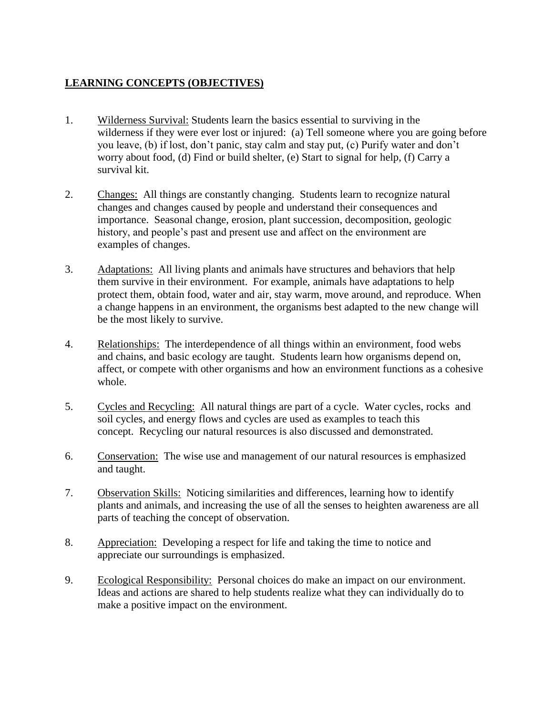## **LEARNING CONCEPTS (OBJECTIVES)**

- 1. Wilderness Survival: Students learn the basics essential to surviving in the wilderness if they were ever lost or injured: (a) Tell someone where you are going before you leave, (b) if lost, don't panic, stay calm and stay put, (c) Purify water and don't worry about food, (d) Find or build shelter, (e) Start to signal for help, (f) Carry a survival kit.
- 2. Changes: All things are constantly changing. Students learn to recognize natural changes and changes caused by people and understand their consequences and importance. Seasonal change, erosion, plant succession, decomposition, geologic history, and people's past and present use and affect on the environment are examples of changes.
- 3. Adaptations: All living plants and animals have structures and behaviors that help them survive in their environment. For example, animals have adaptations to help protect them, obtain food, water and air, stay warm, move around, and reproduce. When a change happens in an environment, the organisms best adapted to the new change will be the most likely to survive.
- 4. Relationships: The interdependence of all things within an environment, food webs and chains, and basic ecology are taught. Students learn how organisms depend on, affect, or compete with other organisms and how an environment functions as a cohesive whole.
- 5. Cycles and Recycling: All natural things are part of a cycle. Water cycles, rocks and soil cycles, and energy flows and cycles are used as examples to teach this concept. Recycling our natural resources is also discussed and demonstrated.
- 6. Conservation: The wise use and management of our natural resources is emphasized and taught.
- 7. Observation Skills: Noticing similarities and differences, learning how to identify plants and animals, and increasing the use of all the senses to heighten awareness are all parts of teaching the concept of observation.
- 8. Appreciation: Developing a respect for life and taking the time to notice and appreciate our surroundings is emphasized.
- 9. Ecological Responsibility: Personal choices do make an impact on our environment. Ideas and actions are shared to help students realize what they can individually do to make a positive impact on the environment.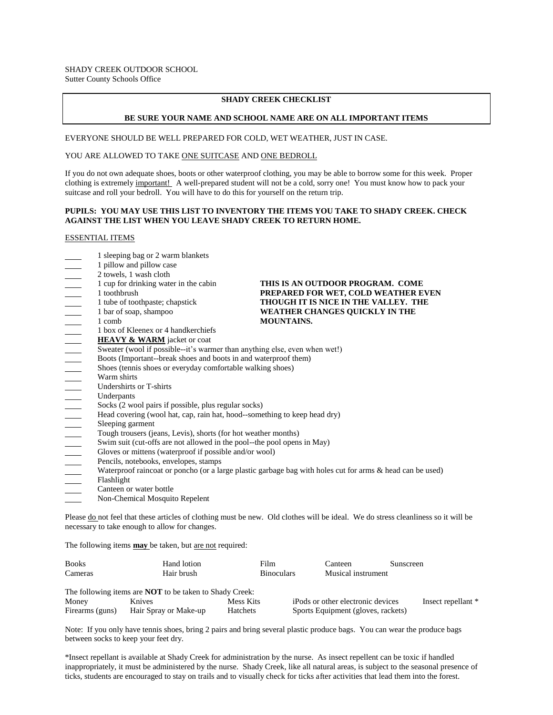#### **SHADY CREEK CHECKLIST**

#### **BE SURE YOUR NAME AND SCHOOL NAME ARE ON ALL IMPORTANT ITEMS**

EVERYONE SHOULD BE WELL PREPARED FOR COLD, WET WEATHER, JUST IN CASE.

#### YOU ARE ALLOWED TO TAKE ONE SUITCASE AND ONE BEDROLL

If you do not own adequate shoes, boots or other waterproof clothing, you may be able to borrow some for this week. Proper clothing is extremely important! A well-prepared student will not be a cold, sorry one! You must know how to pack your suitcase and roll your bedroll. You will have to do this for yourself on the return trip.

#### **PUPILS: YOU MAY USE THIS LIST TO INVENTORY THE ITEMS YOU TAKE TO SHADY CREEK. CHECK AGAINST THE LIST WHEN YOU LEAVE SHADY CREEK TO RETURN HOME.**

#### ESSENTIAL ITEMS

| 1 sleeping bag or 2 warm blankets<br>1 pillow and pillow case              |                                                                                                           |
|----------------------------------------------------------------------------|-----------------------------------------------------------------------------------------------------------|
| 2 towels, 1 wash cloth                                                     |                                                                                                           |
| 1 cup for drinking water in the cabin                                      | THIS IS AN OUTDOOR PROGRAM. COME                                                                          |
| 1 toothbrush                                                               | PREPARED FOR WET, COLD WEATHER EVEN                                                                       |
| 1 tube of toothpaste; chapstick                                            | THOUGH IT IS NICE IN THE VALLEY. THE                                                                      |
| 1 bar of soap, shampoo                                                     | WEATHER CHANGES QUICKLY IN THE                                                                            |
| 1 comb                                                                     | <b>MOUNTAINS.</b>                                                                                         |
| 1 box of Kleenex or 4 handkerchiefs                                        |                                                                                                           |
| <b>HEAVY &amp; WARM</b> jacket or coat                                     |                                                                                                           |
| Sweater (wool if possible--it's warmer than anything else, even when wet!) |                                                                                                           |
| Boots (Important--break shoes and boots in and waterproof them)            |                                                                                                           |
| Shoes (tennis shoes or everyday comfortable walking shoes)                 |                                                                                                           |
| Warm shirts                                                                |                                                                                                           |
| Undershirts or T-shirts                                                    |                                                                                                           |
| Underpants                                                                 |                                                                                                           |
| Socks (2 wool pairs if possible, plus regular socks)                       |                                                                                                           |
| Head covering (wool hat, cap, rain hat, hood--something to keep head dry)  |                                                                                                           |
| Sleeping garment                                                           |                                                                                                           |
| Tough trousers (jeans, Levis), shorts (for hot weather months)             |                                                                                                           |
| Swim suit (cut-offs are not allowed in the pool--the pool opens in May)    |                                                                                                           |
| Gloves or mittens (waterproof if possible and/or wool)                     |                                                                                                           |
| Pencils, notebooks, envelopes, stamps                                      |                                                                                                           |
|                                                                            | Waterproof raincoat or poncho (or a large plastic garbage bag with holes cut for arms & head can be used) |
| Flashlight                                                                 |                                                                                                           |
| Canteen or water bottle                                                    |                                                                                                           |
| Non-Chemical Mosquito Repelent                                             |                                                                                                           |

The following items **may** be taken, but are not required:

| <b>Books</b>    | Hand lotion                                                    | Film                                    |  | Canteen                            | Sunscreen |                    |
|-----------------|----------------------------------------------------------------|-----------------------------------------|--|------------------------------------|-----------|--------------------|
| Cameras         | Hair brush                                                     | Musical instrument<br><b>Binoculars</b> |  |                                    |           |                    |
|                 | The following items are <b>NOT</b> to be taken to Shady Creek: |                                         |  |                                    |           |                    |
| Money           | <b>Knives</b>                                                  | Mess Kits                               |  | iPods or other electronic devices  |           | Insect repellant * |
| Firearms (guns) | Hair Spray or Make-up                                          | Hatchets                                |  | Sports Equipment (gloves, rackets) |           |                    |

Note: If you only have tennis shoes, bring 2 pairs and bring several plastic produce bags. You can wear the produce bags between socks to keep your feet dry.

\*Insect repellant is available at Shady Creek for administration by the nurse. As insect repellent can be toxic if handled inappropriately, it must be administered by the nurse. Shady Creek, like all natural areas, is subject to the seasonal presence of ticks, students are encouraged to stay on trails and to visually check for ticks after activities that lead them into the forest.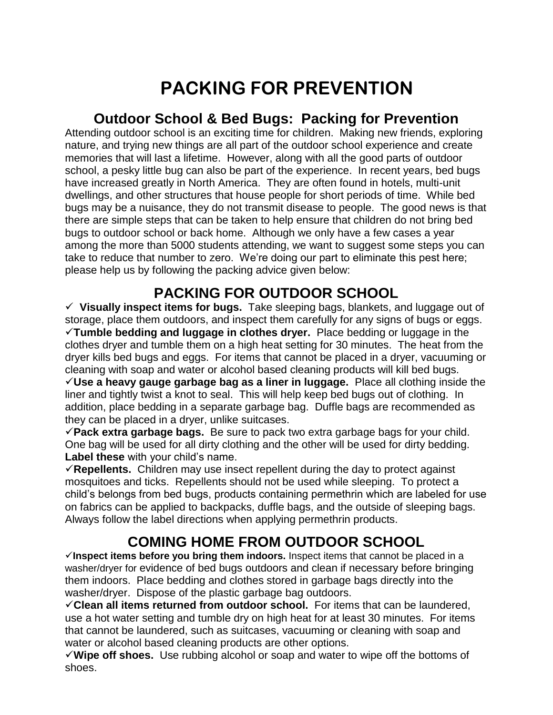# **PACKING FOR PREVENTION**

## **Outdoor School & Bed Bugs: Packing for Prevention**

Attending outdoor school is an exciting time for children. Making new friends, exploring nature, and trying new things are all part of the outdoor school experience and create memories that will last a lifetime. However, along with all the good parts of outdoor school, a pesky little bug can also be part of the experience. In recent years, bed bugs have increased greatly in North America. They are often found in hotels, multi-unit dwellings, and other structures that house people for short periods of time. While bed bugs may be a nuisance, they do not transmit disease to people. The good news is that there are simple steps that can be taken to help ensure that children do not bring bed bugs to outdoor school or back home. Although we only have a few cases a year among the more than 5000 students attending, we want to suggest some steps you can take to reduce that number to zero. We're doing our part to eliminate this pest here; please help us by following the packing advice given below:

# **PACKING FOR OUTDOOR SCHOOL**

 **Visually inspect items for bugs.** Take sleeping bags, blankets, and luggage out of storage, place them outdoors, and inspect them carefully for any signs of bugs or eggs. **Tumble bedding and luggage in clothes dryer.** Place bedding or luggage in the clothes dryer and tumble them on a high heat setting for 30 minutes. The heat from the dryer kills bed bugs and eggs. For items that cannot be placed in a dryer, vacuuming or cleaning with soap and water or alcohol based cleaning products will kill bed bugs. **Use a heavy gauge garbage bag as a liner in luggage.** Place all clothing inside the liner and tightly twist a knot to seal. This will help keep bed bugs out of clothing. In addition, place bedding in a separate garbage bag. Duffle bags are recommended as they can be placed in a dryer, unlike suitcases.

**Pack extra garbage bags.** Be sure to pack two extra garbage bags for your child. One bag will be used for all dirty clothing and the other will be used for dirty bedding. **Label these** with your child's name.

**Repellents.** Children may use insect repellent during the day to protect against mosquitoes and ticks. Repellents should not be used while sleeping. To protect a child's belongs from bed bugs, products containing permethrin which are labeled for use on fabrics can be applied to backpacks, duffle bags, and the outside of sleeping bags. Always follow the label directions when applying permethrin products.

# **COMING HOME FROM OUTDOOR SCHOOL**

**Inspect items before you bring them indoors.** Inspect items that cannot be placed in a washer/dryer for evidence of bed bugs outdoors and clean if necessary before bringing them indoors. Place bedding and clothes stored in garbage bags directly into the washer/dryer. Dispose of the plastic garbage bag outdoors.

**Clean all items returned from outdoor school.** For items that can be laundered, use a hot water setting and tumble dry on high heat for at least 30 minutes. For items that cannot be laundered, such as suitcases, vacuuming or cleaning with soap and water or alcohol based cleaning products are other options.

**Wipe off shoes.** Use rubbing alcohol or soap and water to wipe off the bottoms of shoes.